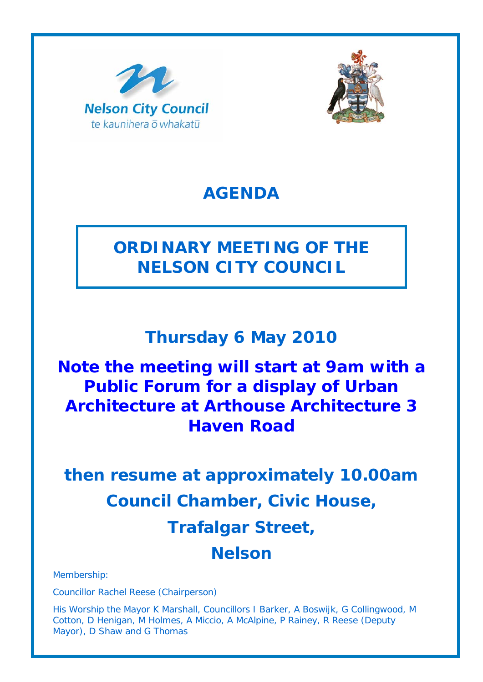



### **AGENDA**

## **ORDINARY MEETING OF THE NELSON CITY COUNCIL**

### **Thursday 6 May 2010**

## **Note the meeting will start at 9am with a Public Forum for a display of Urban Architecture at Arthouse Architecture 3 Haven Road**

# **then resume at approximately 10.00am Council Chamber, Civic House, Trafalgar Street, Nelson**

Membership:

Councillor Rachel Reese (Chairperson)

His Worship the Mayor K Marshall, Councillors I Barker, A Boswijk, G Collingwood, M Cotton, D Henigan, M Holmes, A Miccio, A McAlpine, P Rainey, R Reese (Deputy Mayor), D Shaw and G Thomas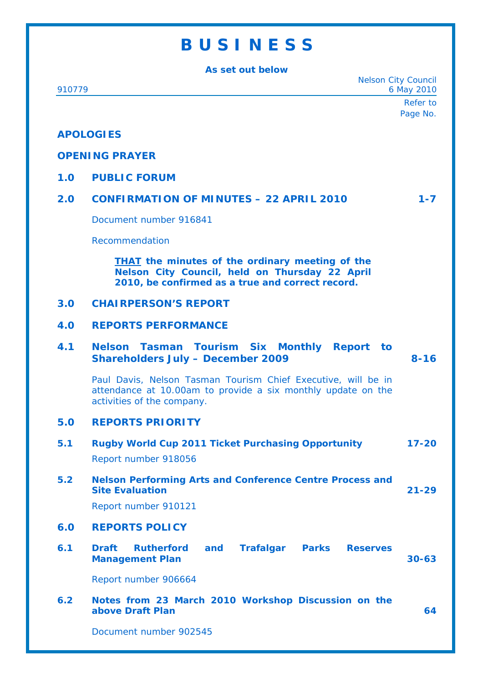## **B U S I N E S S**

| As set out below |                                                                                                                                                              |                                          |  |
|------------------|--------------------------------------------------------------------------------------------------------------------------------------------------------------|------------------------------------------|--|
| 910779           |                                                                                                                                                              | <b>Nelson City Council</b><br>6 May 2010 |  |
|                  |                                                                                                                                                              | Refer to                                 |  |
|                  |                                                                                                                                                              | Page No.                                 |  |
| <b>APOLOGIES</b> |                                                                                                                                                              |                                          |  |
|                  | <b>OPENING PRAYER</b>                                                                                                                                        |                                          |  |
| 1.0              | <b>PUBLIC FORUM</b>                                                                                                                                          |                                          |  |
| 2.0              | <b>CONFIRMATION OF MINUTES - 22 APRIL 2010</b>                                                                                                               | $1 - 7$                                  |  |
|                  | Document number 916841                                                                                                                                       |                                          |  |
|                  | Recommendation                                                                                                                                               |                                          |  |
|                  | <b>THAT</b> the minutes of the ordinary meeting of the<br>Nelson City Council, held on Thursday 22 April<br>2010, be confirmed as a true and correct record. |                                          |  |
| 3.0              | <b>CHAIRPERSON'S REPORT</b>                                                                                                                                  |                                          |  |
| 4.0              | <b>REPORTS PERFORMANCE</b>                                                                                                                                   |                                          |  |
| 4.1              | Nelson Tasman Tourism Six Monthly Report to<br><b>Shareholders July - December 2009</b>                                                                      | $8 - 16$                                 |  |
|                  | Paul Davis, Nelson Tasman Tourism Chief Executive, will be in<br>attendance at 10.00am to provide a six monthly update on the<br>activities of the company.  |                                          |  |
| 5.0              | <b>REPORTS PRIORITY</b>                                                                                                                                      |                                          |  |
| 5.1              | <b>Rugby World Cup 2011 Ticket Purchasing Opportunity</b>                                                                                                    | $17 - 20$                                |  |
|                  | Report number 918056                                                                                                                                         |                                          |  |
| 5.2              | <b>Nelson Performing Arts and Conference Centre Process and</b><br><b>Site Evaluation</b>                                                                    | $21 - 29$                                |  |
|                  | Report number 910121                                                                                                                                         |                                          |  |
| 6.0              | <b>REPORTS POLICY</b>                                                                                                                                        |                                          |  |
| 6.1              | <b>Draft</b><br><b>Rutherford</b><br>and<br><b>Trafalgar</b><br><b>Parks</b><br><b>Reserves</b><br><b>Management Plan</b>                                    | $30 - 63$                                |  |
|                  | Report number 906664                                                                                                                                         |                                          |  |
| 6.2              | Notes from 23 March 2010 Workshop Discussion on the<br>above Draft Plan                                                                                      | 64                                       |  |
|                  | Document number 902545                                                                                                                                       |                                          |  |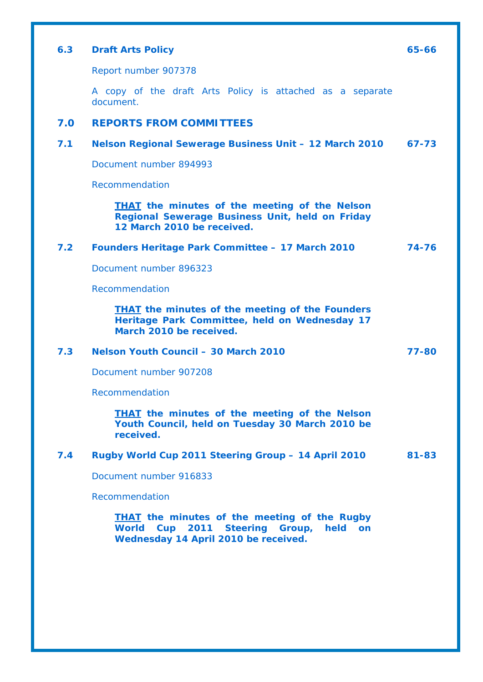| 6.3 | <b>Draft Arts Policy</b>                                                                                                              | 65-66 |
|-----|---------------------------------------------------------------------------------------------------------------------------------------|-------|
|     | Report number 907378                                                                                                                  |       |
|     | A copy of the draft Arts Policy is attached as a separate<br>document.                                                                |       |
| 7.0 | <b>REPORTS FROM COMMITTEES</b>                                                                                                        |       |
| 7.1 | Nelson Regional Sewerage Business Unit - 12 March 2010                                                                                | 67-73 |
|     | Document number 894993                                                                                                                |       |
|     | Recommendation                                                                                                                        |       |
|     | <b>THAT</b> the minutes of the meeting of the Nelson<br>Regional Sewerage Business Unit, held on Friday<br>12 March 2010 be received. |       |
| 7.2 | <b>Founders Heritage Park Committee - 17 March 2010</b>                                                                               | 74-76 |
|     | Document number 896323                                                                                                                |       |
|     | Recommendation                                                                                                                        |       |
|     | <b>THAT</b> the minutes of the meeting of the Founders<br>Heritage Park Committee, held on Wednesday 17<br>March 2010 be received.    |       |
| 7.3 | Nelson Youth Council - 30 March 2010                                                                                                  | 77-80 |
|     | Document number 907208                                                                                                                |       |
|     | Recommendation                                                                                                                        |       |
|     | <b>THAT</b> the minutes of the meeting of the Nelson<br>Youth Council, held on Tuesday 30 March 2010 be<br>received.                  |       |
| 7.4 | Rugby World Cup 2011 Steering Group - 14 April 2010                                                                                   | 81-83 |
|     | Document number 916833                                                                                                                |       |
|     | Recommendation                                                                                                                        |       |
|     | <b>THAT</b> the minutes of the meeting of the Rugby<br>World Cup 2011 Steering Group, held on<br>Wednesday 14 April 2010 be received. |       |
|     |                                                                                                                                       |       |